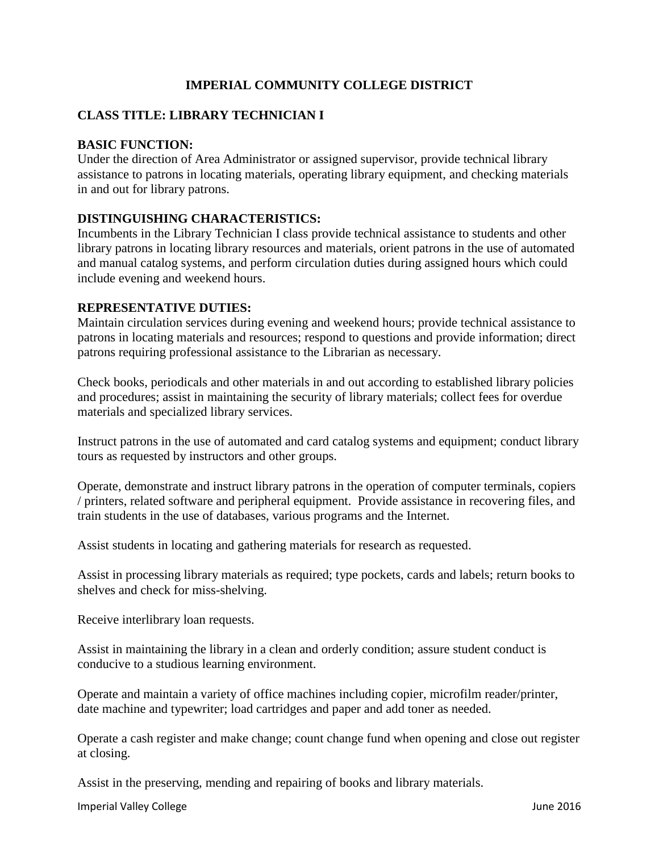# **IMPERIAL COMMUNITY COLLEGE DISTRICT**

# **CLASS TITLE: LIBRARY TECHNICIAN I**

## **BASIC FUNCTION:**

Under the direction of Area Administrator or assigned supervisor, provide technical library assistance to patrons in locating materials, operating library equipment, and checking materials in and out for library patrons.

### **DISTINGUISHING CHARACTERISTICS:**

Incumbents in the Library Technician I class provide technical assistance to students and other library patrons in locating library resources and materials, orient patrons in the use of automated and manual catalog systems, and perform circulation duties during assigned hours which could include evening and weekend hours.

#### **REPRESENTATIVE DUTIES:**

Maintain circulation services during evening and weekend hours; provide technical assistance to patrons in locating materials and resources; respond to questions and provide information; direct patrons requiring professional assistance to the Librarian as necessary.

Check books, periodicals and other materials in and out according to established library policies and procedures; assist in maintaining the security of library materials; collect fees for overdue materials and specialized library services.

Instruct patrons in the use of automated and card catalog systems and equipment; conduct library tours as requested by instructors and other groups.

Operate, demonstrate and instruct library patrons in the operation of computer terminals, copiers / printers, related software and peripheral equipment. Provide assistance in recovering files, and train students in the use of databases, various programs and the Internet.

Assist students in locating and gathering materials for research as requested.

Assist in processing library materials as required; type pockets, cards and labels; return books to shelves and check for miss-shelving.

Receive interlibrary loan requests.

Assist in maintaining the library in a clean and orderly condition; assure student conduct is conducive to a studious learning environment.

Operate and maintain a variety of office machines including copier, microfilm reader/printer, date machine and typewriter; load cartridges and paper and add toner as needed.

Operate a cash register and make change; count change fund when opening and close out register at closing.

Assist in the preserving, mending and repairing of books and library materials.

Imperial Valley College June 2016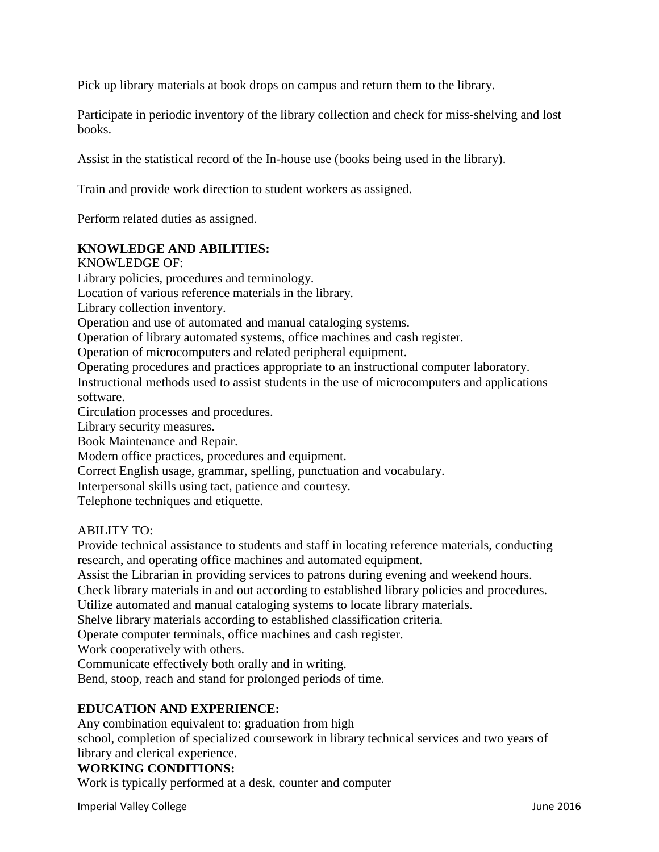Pick up library materials at book drops on campus and return them to the library.

Participate in periodic inventory of the library collection and check for miss-shelving and lost books.

Assist in the statistical record of the In-house use (books being used in the library).

Train and provide work direction to student workers as assigned.

Perform related duties as assigned.

#### **KNOWLEDGE AND ABILITIES:**

KNOWLEDGE OF:

Library policies, procedures and terminology.

Location of various reference materials in the library.

Library collection inventory.

Operation and use of automated and manual cataloging systems.

Operation of library automated systems, office machines and cash register.

Operation of microcomputers and related peripheral equipment.

Operating procedures and practices appropriate to an instructional computer laboratory.

Instructional methods used to assist students in the use of microcomputers and applications software.

Circulation processes and procedures.

Library security measures.

Book Maintenance and Repair.

Modern office practices, procedures and equipment.

Correct English usage, grammar, spelling, punctuation and vocabulary.

Interpersonal skills using tact, patience and courtesy.

Telephone techniques and etiquette.

#### ABILITY TO:

Provide technical assistance to students and staff in locating reference materials, conducting research, and operating office machines and automated equipment.

Assist the Librarian in providing services to patrons during evening and weekend hours.

Check library materials in and out according to established library policies and procedures.

Utilize automated and manual cataloging systems to locate library materials.

Shelve library materials according to established classification criteria.

Operate computer terminals, office machines and cash register.

Work cooperatively with others.

Communicate effectively both orally and in writing.

Bend, stoop, reach and stand for prolonged periods of time.

#### **EDUCATION AND EXPERIENCE:**

Any combination equivalent to: graduation from high

school, completion of specialized coursework in library technical services and two years of library and clerical experience.

#### **WORKING CONDITIONS:**

Work is typically performed at a desk, counter and computer